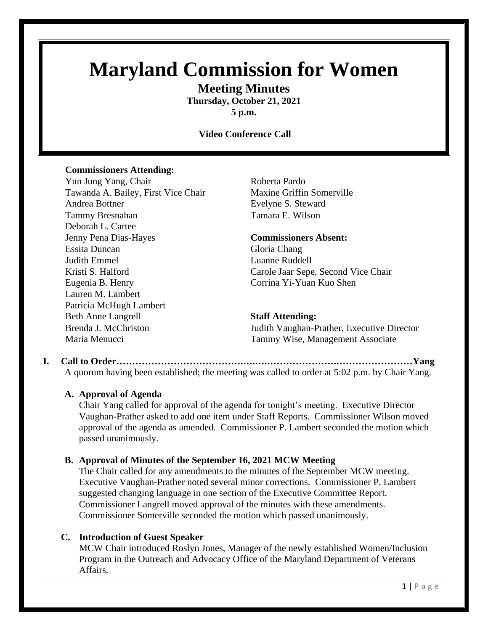# **Maryland Commission for Women**

**Meeting Minutes**

**Thursday, October 21, 2021 5 p.m.**

### **Video Conference Call**

#### **Commissioners Attending:**

Yun Jung Yang, Chair Roberta Pardo Tawanda A. Bailey, First Vice Chair Maxine Griffin Somerville Andrea Bottner **Evelyne S.** Steward Tammy Bresnahan Tamara E. Wilson Deborah L. Cartee Jenny Pena Dias-Hayes **Commissioners Absent:** Essita Duncan Gloria Chang Judith Emmel Luanne Ruddell Eugenia B. Henry Corrina Yi-Yuan Kuo Shen Lauren M. Lambert Patricia McHugh Lambert Beth Anne Langrell **Staff Attending:**

Kristi S. Halford Carole Jaar Sepe, Second Vice Chair

Brenda J. McChriston Judith Vaughan-Prather, Executive Director Maria Menucci Tammy Wise, Management Associate

**I. Call to Order………………………………….….….………………….……………………Yang** A quorum having been established; the meeting was called to order at 5:02 p.m. by Chair Yang.

#### **A. Approval of Agenda**

Chair Yang called for approval of the agenda for tonight's meeting. Executive Director Vaughan-Prather asked to add one item under Staff Reports. Commissioner Wilson moved approval of the agenda as amended. Commissioner P. Lambert seconded the motion which passed unanimously.

#### **B. Approval of Minutes of the September 16, 2021 MCW Meeting**

The Chair called for any amendments to the minutes of the September MCW meeting. Executive Vaughan-Prather noted several minor corrections. Commissioner P. Lambert suggested changing language in one section of the Executive Committee Report. Commissioner Langrell moved approval of the minutes with these amendments. Commissioner Somerville seconded the motion which passed unanimously.

#### **C. Introduction of Guest Speaker**

MCW Chair introduced Roslyn Jones, Manager of the newly established Women/Inclusion Program in the Outreach and Advocacy Office of the Maryland Department of Veterans Affairs.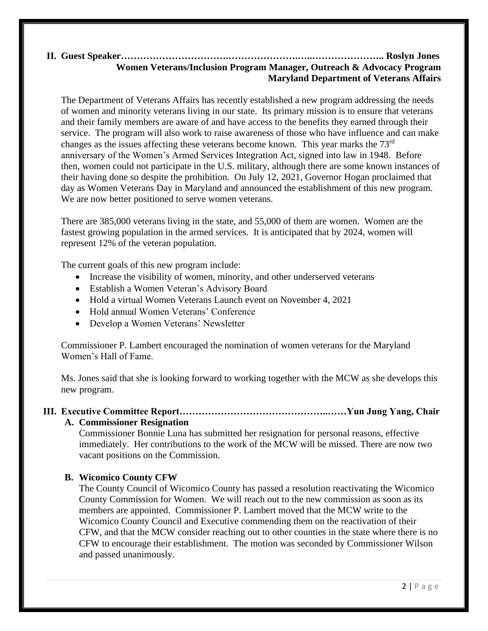#### **II. Guest Speaker…………………………….………………….…..………………….. Roslyn Jones Women Veterans/Inclusion Program Manager, Outreach & Advocacy Program Maryland Department of Veterans Affairs**

The Department of Veterans Affairs has recently established a new program addressing the needs of women and minority veterans living in our state. Its primary mission is to ensure that veterans and their family members are aware of and have access to the benefits they earned through their service. The program will also work to raise awareness of those who have influence and can make changes as the issues affecting these veterans become known. This year marks the 73rd anniversary of the Women's Armed Services Integration Act, signed into law in 1948. Before then, women could not participate in the U.S. military, although there are some known instances of their having done so despite the prohibition. On July 12, 2021, Governor Hogan proclaimed that day as Women Veterans Day in Maryland and announced the establishment of this new program. We are now better positioned to serve women veterans.

There are 385,000 veterans living in the state, and 55,000 of them are women. Women are the fastest growing population in the armed services. It is anticipated that by 2024, women will represent 12% of the veteran population.

The current goals of this new program include:

- Increase the visibility of women, minority, and other underserved veterans
- Establish a Women Veteran's Advisory Board
- Hold a virtual Women Veterans Launch event on November 4, 2021
- Hold annual Women Veterans' Conference
- Develop a Women Veterans' Newsletter

Commissioner P. Lambert encouraged the nomination of women veterans for the Maryland Women's Hall of Fame.

Ms. Jones said that she is looking forward to working together with the MCW as she develops this new program.

#### **III. Executive Committee Report………………………………………..……Yun Jung Yang, Chair**

#### **A. Commissioner Resignation**

Commissioner Bonnie Luna has submitted her resignation for personal reasons, effective immediately. Her contributions to the work of the MCW will be missed. There are now two vacant positions on the Commission.

#### **B. Wicomico County CFW**

The County Council of Wicomico County has passed a resolution reactivating the Wicomico County Commission for Women. We will reach out to the new commission as soon as its members are appointed. Commissioner P. Lambert moved that the MCW write to the Wicomico County Council and Executive commending them on the reactivation of their CFW, and that the MCW consider reaching out to other counties in the state where there is no CFW to encourage their establishment. The motion was seconded by Commissioner Wilson and passed unanimously.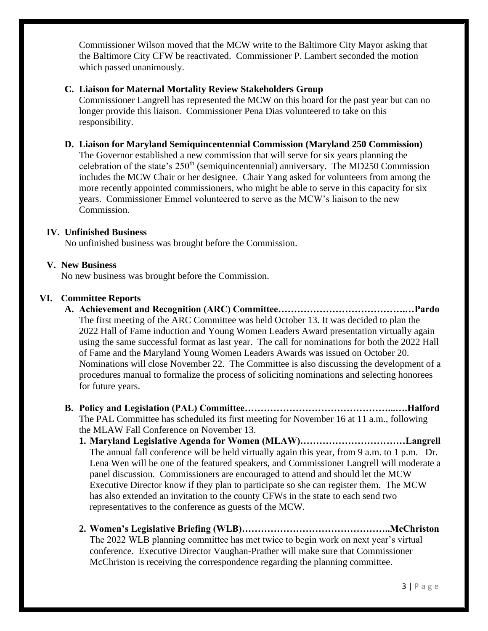Commissioner Wilson moved that the MCW write to the Baltimore City Mayor asking that the Baltimore City CFW be reactivated. Commissioner P. Lambert seconded the motion which passed unanimously.

#### **C. Liaison for Maternal Mortality Review Stakeholders Group**

Commissioner Langrell has represented the MCW on this board for the past year but can no longer provide this liaison. Commissioner Pena Dias volunteered to take on this responsibility.

#### **D. Liaison for Maryland Semiquincentennial Commission (Maryland 250 Commission)**

The Governor established a new commission that will serve for six years planning the celebration of the state's  $250<sup>th</sup>$  (semiquincentennial) anniversary. The MD250 Commission includes the MCW Chair or her designee. Chair Yang asked for volunteers from among the more recently appointed commissioners, who might be able to serve in this capacity for six years. Commissioner Emmel volunteered to serve as the MCW's liaison to the new Commission.

#### **IV. Unfinished Business**

No unfinished business was brought before the Commission.

#### **V. New Business**

No new business was brought before the Commission.

#### **VI. Committee Reports**

- **A. Achievement and Recognition (ARC) Committee………………………………….…Pardo** The first meeting of the ARC Committee was held October 13. It was decided to plan the 2022 Hall of Fame induction and Young Women Leaders Award presentation virtually again using the same successful format as last year. The call for nominations for both the 2022 Hall of Fame and the Maryland Young Women Leaders Awards was issued on October 20. Nominations will close November 22. The Committee is also discussing the development of a procedures manual to formalize the process of soliciting nominations and selecting honorees for future years.
- **B. Policy and Legislation (PAL) Committee………………………………………...….Halford** The PAL Committee has scheduled its first meeting for November 16 at 11 a.m., following the MLAW Fall Conference on November 13.
	- **1. Maryland Legislative Agenda for Women (MLAW)……………………………Langrell** The annual fall conference will be held virtually again this year, from 9 a.m. to 1 p.m. Dr. Lena Wen will be one of the featured speakers, and Commissioner Langrell will moderate a panel discussion. Commissioners are encouraged to attend and should let the MCW Executive Director know if they plan to participate so she can register them. The MCW has also extended an invitation to the county CFWs in the state to each send two representatives to the conference as guests of the MCW.
	- **2. Women's Legislative Briefing (WLB)………………………………………..McChriston** The 2022 WLB planning committee has met twice to begin work on next year's virtual conference. Executive Director Vaughan-Prather will make sure that Commissioner McChriston is receiving the correspondence regarding the planning committee.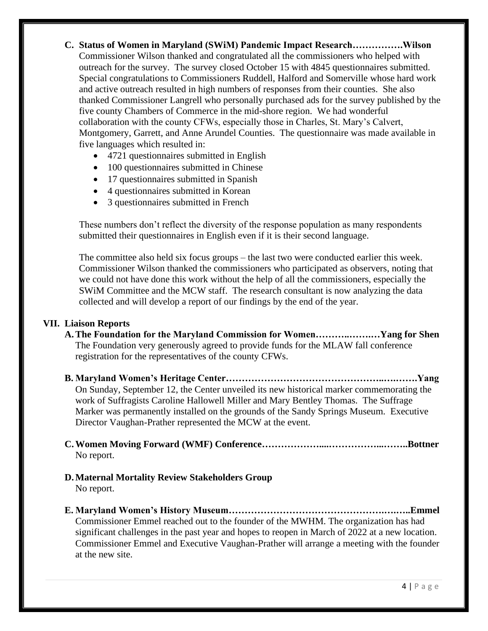### **C. Status of Women in Maryland (SWiM) Pandemic Impact Research…………….Wilson** Commissioner Wilson thanked and congratulated all the commissioners who helped with outreach for the survey. The survey closed October 15 with 4845 questionnaires submitted. Special congratulations to Commissioners Ruddell, Halford and Somerville whose hard work and active outreach resulted in high numbers of responses from their counties. She also thanked Commissioner Langrell who personally purchased ads for the survey published by the five county Chambers of Commerce in the mid-shore region. We had wonderful collaboration with the county CFWs, especially those in Charles, St. Mary's Calvert, Montgomery, Garrett, and Anne Arundel Counties. The questionnaire was made available in five languages which resulted in:

- 4721 questionnaires submitted in English
- 100 questionnaires submitted in Chinese
- 17 questionnaires submitted in Spanish
- 4 questionnaires submitted in Korean
- 3 questionnaires submitted in French

These numbers don't reflect the diversity of the response population as many respondents submitted their questionnaires in English even if it is their second language.

The committee also held six focus groups – the last two were conducted earlier this week. Commissioner Wilson thanked the commissioners who participated as observers, noting that we could not have done this work without the help of all the commissioners, especially the SWiM Committee and the MCW staff. The research consultant is now analyzing the data collected and will develop a report of our findings by the end of the year.

#### **VII. Liaison Reports**

- **A.The Foundation for the Maryland Commission for Women………..…….…Yang for Shen** The Foundation very generously agreed to provide funds for the MLAW fall conference registration for the representatives of the county CFWs.
- **B. Maryland Women's Heritage Center…………………………………………..….…….Yang** On Sunday, September 12, the Center unveiled its new historical marker commemorating the work of Suffragists Caroline Hallowell Miller and Mary Bentley Thomas. The Suffrage Marker was permanently installed on the grounds of the Sandy Springs Museum. Executive Director Vaughan-Prather represented the MCW at the event.
- **C.Women Moving Forward (WMF) Conference………………....……………...……..Bottner** No report.
- **D.Maternal Mortality Review Stakeholders Group** No report.
- **E. Maryland Women's History Museum………………………………………….….…..Emmel** Commissioner Emmel reached out to the founder of the MWHM. The organization has had significant challenges in the past year and hopes to reopen in March of 2022 at a new location. Commissioner Emmel and Executive Vaughan-Prather will arrange a meeting with the founder at the new site.